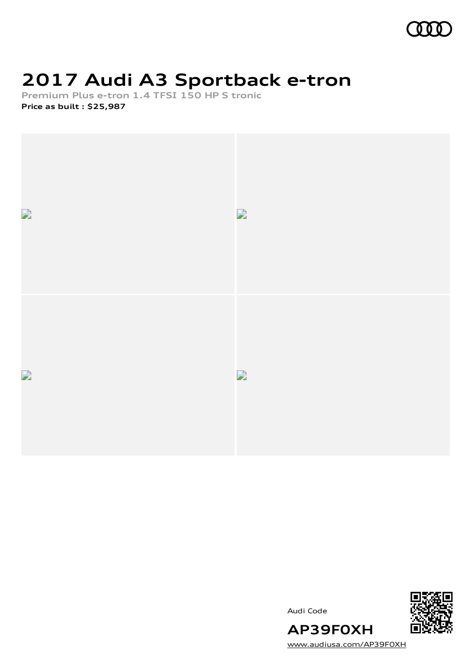

### **2017 Audi A3 Sportback e-tron**

**Premium Plus e-tron 1.4 TFSI 150 HP S tronic Price as built [:](#page-10-0) \$25,987**



Audi Code



[www.audiusa.com/AP39F0XH](https://www.audiusa.com/AP39F0XH)

**AP39F0XH**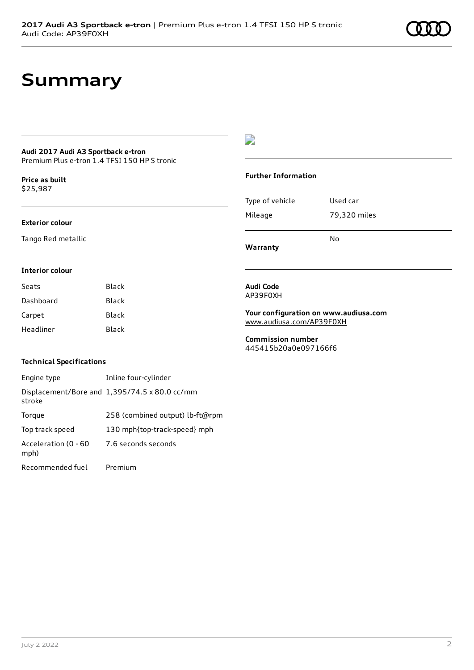### **Summary**

### **Audi 2017 Audi A3 Sportback e-tron**

Premium Plus e-tron 1.4 TFSI 150 HP S tronic

**Price as buil[t](#page-10-0)** \$25,987

#### **Exterior colour**

Tango Red metallic

#### $\overline{\phantom{a}}$

#### **Further Information**

| Warranty        | N٥           |
|-----------------|--------------|
| Mileage         | 79,320 miles |
| Type of vehicle | Used car     |

#### **Interior colour**

| Black |
|-------|
| Black |
| Black |
| Black |
|       |

#### **Audi Code** AP39F0XH

**Your configuration on www.audiusa.com** [www.audiusa.com/AP39F0XH](https://www.audiusa.com/AP39F0XH)

**Commission number** 445415b20a0e097166f6

#### **Technical Specifications**

| Engine type                  | Inline four-cylinder                          |
|------------------------------|-----------------------------------------------|
| stroke                       | Displacement/Bore and 1,395/74.5 x 80.0 cc/mm |
| Torque                       | 258 (combined output) lb-ft@rpm               |
| Top track speed              | 130 mph{top-track-speed} mph                  |
| Acceleration (0 - 60<br>mph) | 7.6 seconds seconds                           |
| Recommended fuel             | Premium                                       |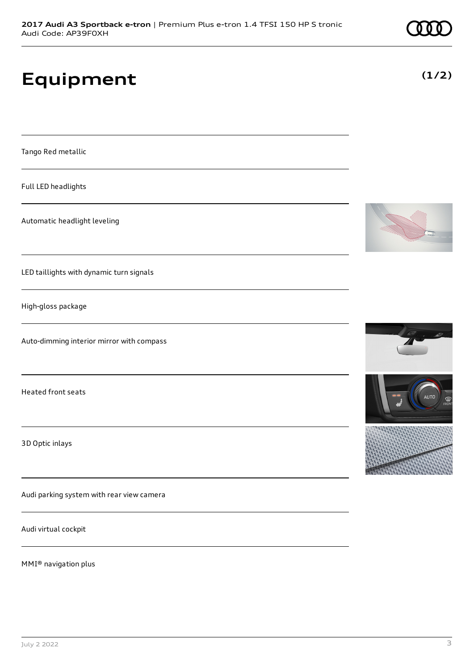# **Equipment**

Tango Red metallic

Full LED headlights

Automatic headlight leveling

LED taillights with dynamic turn signals

High-gloss package

Auto-dimming interior mirror with compass

Heated front seats

3D Optic inlays

Audi parking system with rear view camera

Audi virtual cockpit

MMI® navigation plus





**(1/2)**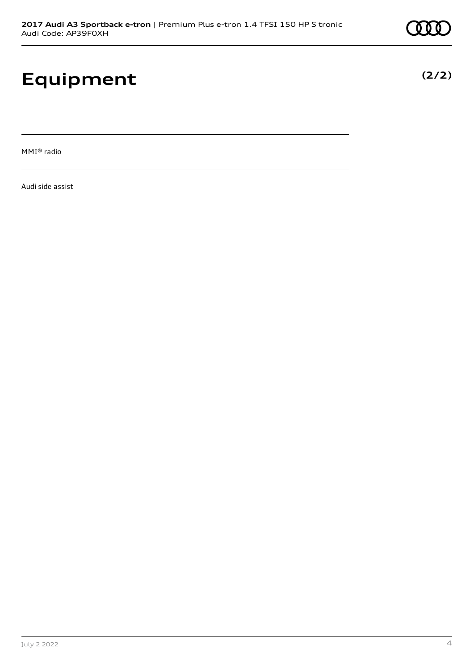# **Equipment**

MMI® radio

Audi side assist

**(2/2)**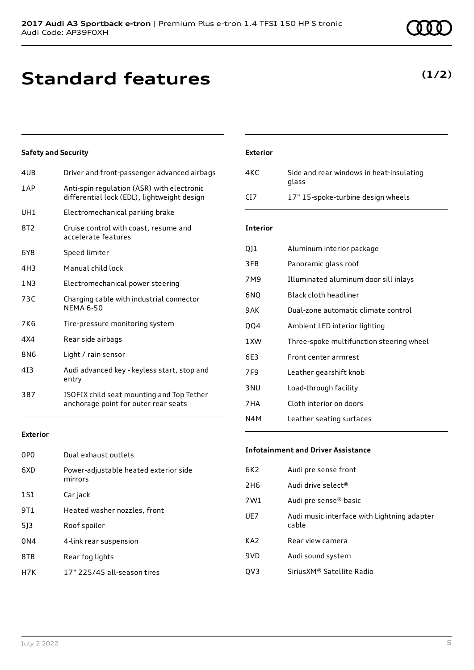### **Standard features**

#### **Safety and Security**

| 4UB   | Driver and front-passenger advanced airbags                                               |
|-------|-------------------------------------------------------------------------------------------|
| 1AP   | Anti-spin regulation (ASR) with electronic<br>differential lock (EDL), lightweight design |
| UH1   | Electromechanical parking brake                                                           |
| 8T2   | Cruise control with coast, resume and<br>accelerate features                              |
| 6Y8   | Speed limiter                                                                             |
| 4H3   | Manual child lock                                                                         |
| 1 N 3 | Electromechanical power steering                                                          |
| 73C   | Charging cable with industrial connector<br><b>NEMA 6-50</b>                              |
| 7K6   | Tire-pressure monitoring system                                                           |
| 4X4   | Rear side airbags                                                                         |
| 8N6   | Light / rain sensor                                                                       |
| 413   | Audi advanced key - keyless start, stop and<br>entry                                      |
| 3B7   | ISOFIX child seat mounting and Top Tether<br>anchorage point for outer rear seats         |
|       |                                                                                           |

#### **Exterior**

| 0PO             | Dual exhaust outlets                             |
|-----------------|--------------------------------------------------|
| 6XD             | Power-adjustable heated exterior side<br>mirrors |
| 1S1             | Car jack                                         |
| 9T 1            | Heated washer nozzles, front                     |
| 513             | Roof spoiler                                     |
| 0 <sub>N4</sub> | 4-link rear suspension                           |
| 8TB             | Rear fog lights                                  |
| H7K             | 17" 225/45 all-season tires                      |

### **Exterior**

| 4KC             | Side and rear windows in heat-insulating<br>glass |
|-----------------|---------------------------------------------------|
| C <sub>17</sub> | 17" 15-spoke-turbine design wheels                |

#### **Interior**

| Q]1             | Aluminum interior package                |
|-----------------|------------------------------------------|
| 3FB             | Panoramic glass roof                     |
| 7M9             | Illuminated aluminum door sill inlays    |
| 6NQ             | Black cloth headliner                    |
| 9AK             | Dual-zone automatic climate control      |
| <b>QQ4</b>      | Ambient LED interior lighting            |
| 1XW             | Three-spoke multifunction steering wheel |
| 6E3             | Front center armrest                     |
| 7F <sub>9</sub> | Leather gearshift knob                   |
| 3 <sub>NU</sub> | Load-through facility                    |
| 7HA             | Cloth interior on doors                  |
| N4M             | Leather seating surfaces                 |

#### **Infotainment and Driver Assistance**

| 6K2 | Audi pre sense front                                 |
|-----|------------------------------------------------------|
| 2H6 | Audi drive select <sup>®</sup>                       |
| 7W1 | Audi pre sense® basic                                |
| UE7 | Audi music interface with Lightning adapter<br>cable |
| KA2 | Rear view camera                                     |
| 9VD | Audi sound system                                    |
| QV3 | SiriusXM® Satellite Radio                            |
|     |                                                      |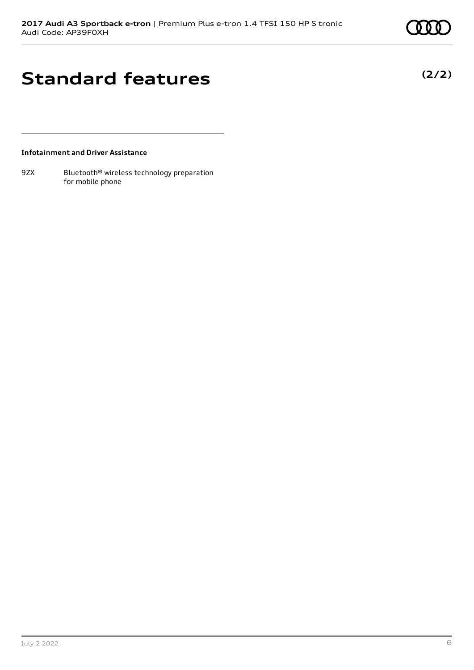### **Standard features**

#### **Infotainment and Driver Assistance**

9ZX Bluetooth<sup>®</sup> wireless technology preparation for mobile phone

July 2 2022 6

**(2/2)**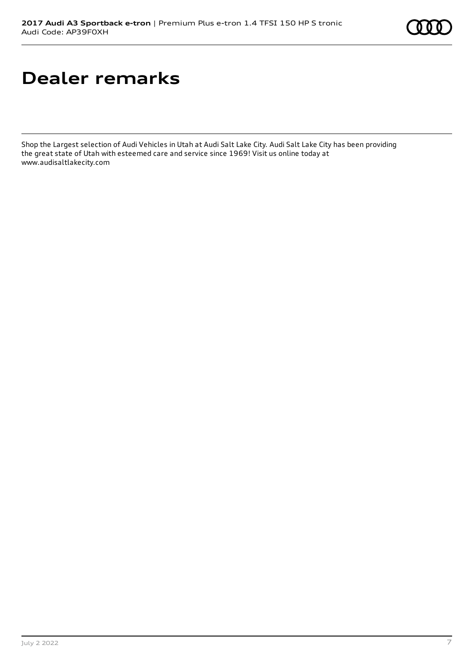

# **Dealer remarks**

Shop the Largest selection of Audi Vehicles in Utah at Audi Salt Lake City. Audi Salt Lake City has been providing the great state of Utah with esteemed care and service since 1969! Visit us online today at the great state of Utah with esteemed care and service since 1969! Visit us online today at www.audisaltlakecity.com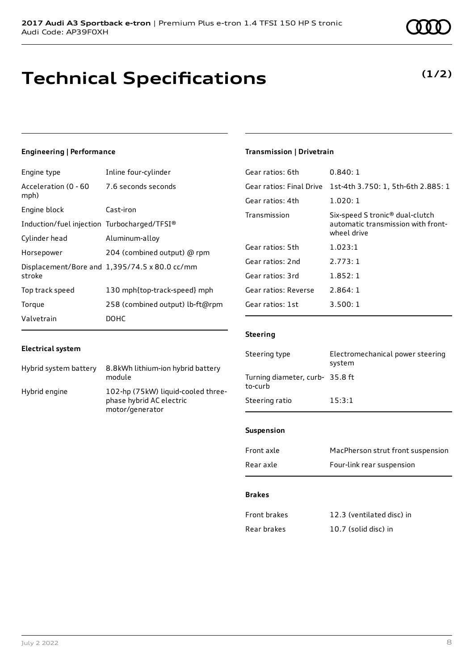### **Technical Specifications**

#### **Engineering | Performance**

| Engine type                                 | Inline four-cylinder                          |
|---------------------------------------------|-----------------------------------------------|
| Acceleration (0 - 60<br>mph)                | 7.6 seconds seconds                           |
| Engine block                                | Cast-iron                                     |
| Induction/fuel injection Turbocharged/TFSI® |                                               |
| Cylinder head                               | Aluminum-alloy                                |
| Horsepower                                  | 204 (combined output) @ rpm                   |
| stroke                                      | Displacement/Bore and 1,395/74.5 x 80.0 cc/mm |
| Top track speed                             | 130 mph{top-track-speed} mph                  |
| Torque                                      | 258 (combined output) lb-ft@rpm               |
| Valvetrain                                  | DOHC                                          |

#### **Electrical system**

| Hybrid system battery | 8.8kWh lithium-ion hybrid battery<br>module                                       |
|-----------------------|-----------------------------------------------------------------------------------|
| Hybrid engine         | 102-hp (75kW) liquid-cooled three-<br>phase hybrid AC electric<br>motor/generator |

### **Transmission | Drivetrain**

| 0.840:1                                                                                          |
|--------------------------------------------------------------------------------------------------|
| 1st-4th 3.750: 1, 5th-6th 2.885: 1                                                               |
| 1.020:1                                                                                          |
| Six-speed S tronic <sup>®</sup> dual-clutch<br>automatic transmission with front-<br>wheel drive |
| 1.023:1                                                                                          |
| 2.773:1                                                                                          |
| 1.852:1                                                                                          |
| 2.864:1                                                                                          |
| 3.500:1                                                                                          |
|                                                                                                  |

#### **Steering**

| Steering type                             | Electromechanical power steering<br>system |
|-------------------------------------------|--------------------------------------------|
| Turning diameter, curb-35.8 ft<br>to-curb |                                            |
| Steering ratio                            | 15:3:1                                     |

#### **Suspension**

| Front axle | MacPherson strut front suspension |
|------------|-----------------------------------|
| Rear axle  | Four-link rear suspension         |

#### **Brakes**

| Front brakes | 12.3 (ventilated disc) in |
|--------------|---------------------------|
| Rear brakes  | 10.7 (solid disc) in      |



**(1/2)**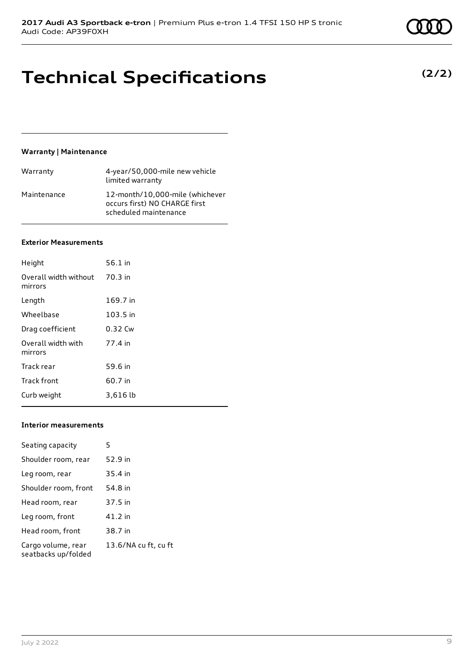### **Technical Specifications**

#### **Warranty | Maintenance**

| Warranty    | 4-year/50,000-mile new vehicle<br>limited warranty                                        |
|-------------|-------------------------------------------------------------------------------------------|
| Maintenance | 12-month/10.000-mile (whichever<br>occurs first) NO CHARGE first<br>scheduled maintenance |

#### **Exterior Measurements**

| Height                           | $56.1$ in |
|----------------------------------|-----------|
| Overall width without<br>mirrors | 70.3 in   |
| Length                           | 169.7 in  |
| Wheelbase                        | 103.5 in  |
| Drag coefficient                 | 0.32 Cw   |
| Overall width with<br>mirrors    | 77.4 in   |
| Track rear                       | 59.6 in   |
| <b>Track front</b>               | 60.7 in   |
| Curb weight                      | 3,616 lb  |

#### **Interior measurements**

| Seating capacity                          | 5                    |
|-------------------------------------------|----------------------|
| Shoulder room, rear                       | 52.9 in              |
| Leg room, rear                            | 35.4 in              |
| Shoulder room, front                      | 54.8 in              |
| Head room, rear                           | 37.5 in              |
| Leg room, front                           | 41.2 in              |
| Head room, front                          | 38.7 in              |
| Cargo volume, rear<br>seatbacks up/folded | 13.6/NA cu ft, cu ft |

**(2/2)**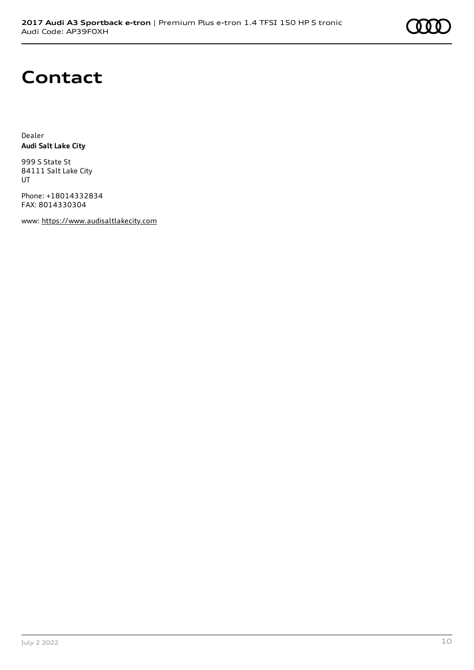

### **Contact**

Dealer **Audi Salt Lake City**

999 S State St 84111 Salt Lake City UT

Phone: +18014332834 FAX: 8014330304

www: [https://www.audisaltlakecity.com](https://www.audisaltlakecity.com/)